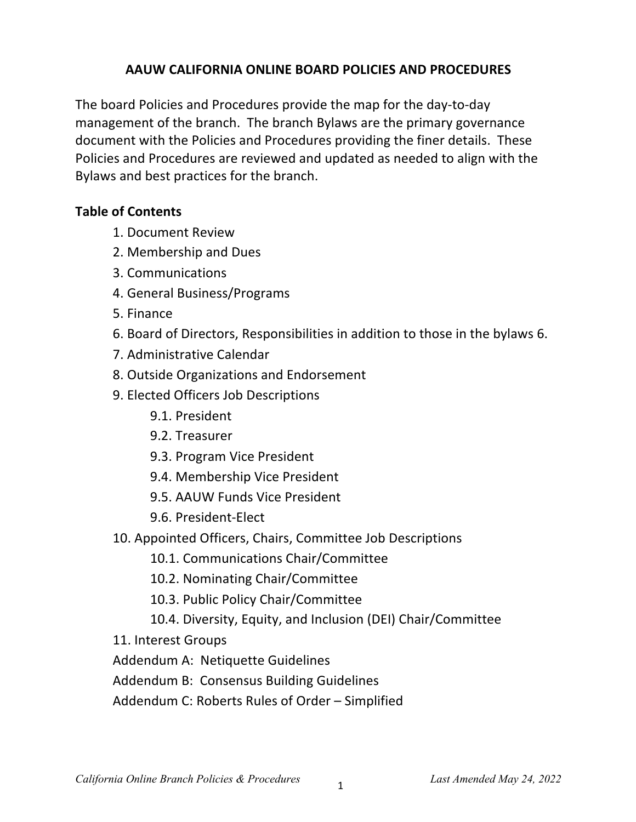#### **AAUW CALIFORNIA ONLINE BOARD POLICIES AND PROCEDURES**

The board Policies and Procedures provide the map for the day-to-day management of the branch. The branch Bylaws are the primary governance document with the Policies and Procedures providing the finer details. These Policies and Procedures are reviewed and updated as needed to align with the Bylaws and best practices for the branch.

### **Table of Contents**

- 1. Document Review
- 2. Membership and Dues
- 3. Communications
- 4. General Business/Programs
- 5. Finance
- 6. Board of Directors, Responsibilities in addition to those in the bylaws 6.
- 7. Administrative Calendar
- 8. Outside Organizations and Endorsement
- 9. Elected Officers Job Descriptions
	- 9.1. President
	- 9.2. Treasurer
	- 9.3. Program Vice President
	- 9.4. Membership Vice President
	- 9.5. AAUW Funds Vice President
	- 9.6. President-Elect
- 10. Appointed Officers, Chairs, Committee Job Descriptions
	- 10.1. Communications Chair/Committee
	- 10.2. Nominating Chair/Committee
	- 10.3. Public Policy Chair/Committee
	- 10.4. Diversity, Equity, and Inclusion (DEI) Chair/Committee
- 11. Interest Groups
- Addendum A: Netiquette Guidelines
- Addendum B: Consensus Building Guidelines
- Addendum C: Roberts Rules of Order Simplified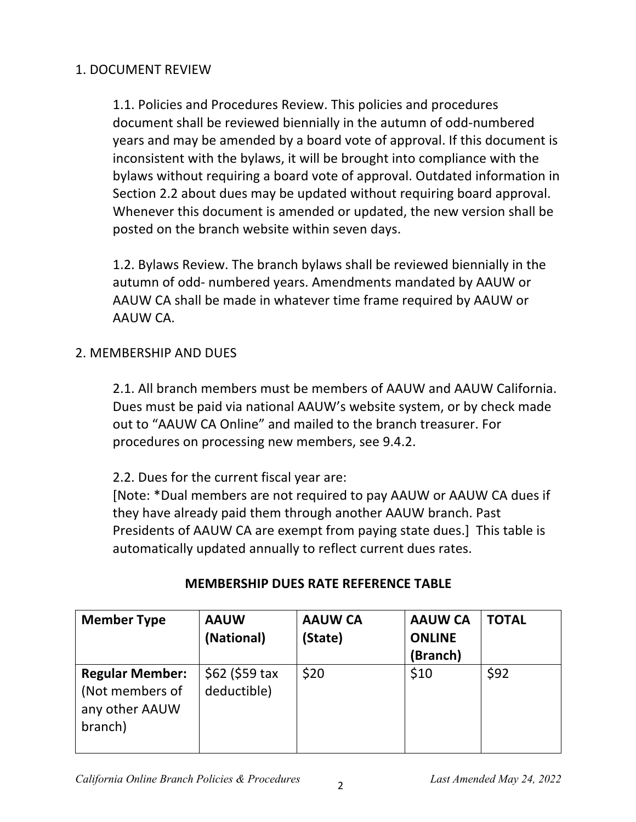### 1. DOCUMENT REVIEW

1.1. Policies and Procedures Review. This policies and procedures document shall be reviewed biennially in the autumn of odd-numbered years and may be amended by a board vote of approval. If this document is inconsistent with the bylaws, it will be brought into compliance with the bylaws without requiring a board vote of approval. Outdated information in Section 2.2 about dues may be updated without requiring board approval. Whenever this document is amended or updated, the new version shall be posted on the branch website within seven days.

1.2. Bylaws Review. The branch bylaws shall be reviewed biennially in the autumn of odd- numbered years. Amendments mandated by AAUW or AAUW CA shall be made in whatever time frame required by AAUW or AAUW CA.

## 2. MEMBERSHIP AND DUES

2.1. All branch members must be members of AAUW and AAUW California. Dues must be paid via national AAUW's website system, or by check made out to "AAUW CA Online" and mailed to the branch treasurer. For procedures on processing new members, see 9.4.2.

2.2. Dues for the current fiscal year are:

[Note: \*Dual members are not required to pay AAUW or AAUW CA dues if they have already paid them through another AAUW branch. Past Presidents of AAUW CA are exempt from paying state dues.] This table is automatically updated annually to reflect current dues rates.

| <b>Member Type</b>                                                     | <b>AAUW</b><br>(National)      | <b>AAUW CA</b><br>(State) | <b>AAUW CA</b><br><b>ONLINE</b><br>(Branch) | <b>TOTAL</b> |
|------------------------------------------------------------------------|--------------------------------|---------------------------|---------------------------------------------|--------------|
| <b>Regular Member:</b><br>(Not members of<br>any other AAUW<br>branch) | $$62$ (\$59 tax<br>deductible) | \$20                      | \$10                                        | \$92         |

#### **MEMBERSHIP DUES RATE REFERENCE TABLE**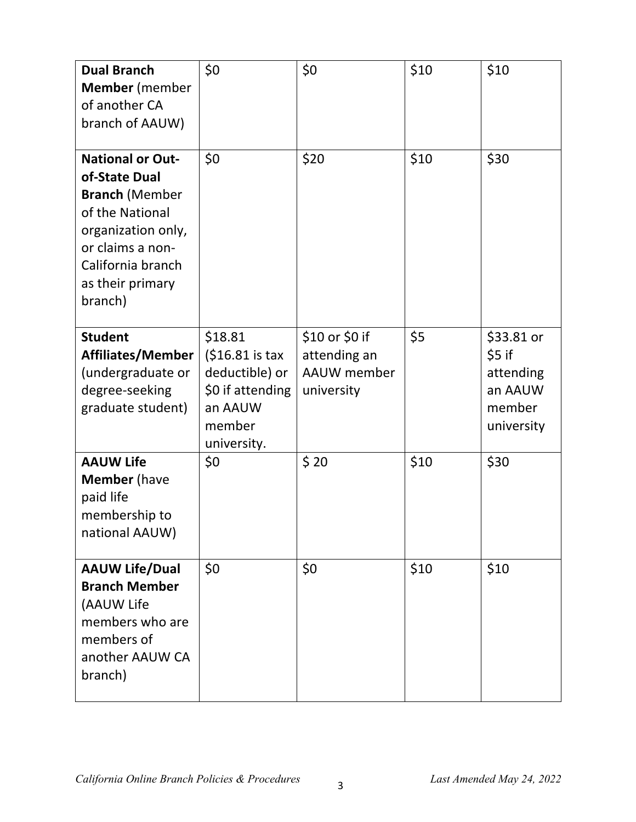| <b>Dual Branch</b><br><b>Member</b> (member<br>of another CA<br>branch of AAUW)                                                                                                    | \$0\$                                                                                                 | \$0                                                         | \$10 | \$10                                                                 |
|------------------------------------------------------------------------------------------------------------------------------------------------------------------------------------|-------------------------------------------------------------------------------------------------------|-------------------------------------------------------------|------|----------------------------------------------------------------------|
| <b>National or Out-</b><br>of-State Dual<br><b>Branch (Member</b><br>of the National<br>organization only,<br>or claims a non-<br>California branch<br>as their primary<br>branch) | \$0                                                                                                   | \$20                                                        | \$10 | \$30                                                                 |
| <b>Student</b><br><b>Affiliates/Member</b><br>(undergraduate or<br>degree-seeking<br>graduate student)                                                                             | \$18.81<br>$(516.81 is tax$<br>deductible) or<br>\$0 if attending<br>an AAUW<br>member<br>university. | \$10 or \$0 if<br>attending an<br>AAUW member<br>university | \$5  | \$33.81 or<br>\$5 if<br>attending<br>an AAUW<br>member<br>university |
| <b>AAUW Life</b><br><b>Member</b> (have<br>paid life<br>membership to<br>national AAUW)                                                                                            | \$0                                                                                                   | \$20                                                        | \$10 | \$30                                                                 |
| <b>AAUW Life/Dual</b><br><b>Branch Member</b><br>(AAUW Life<br>members who are<br>members of<br>another AAUW CA<br>branch)                                                         | \$0                                                                                                   | \$0                                                         | \$10 | \$10                                                                 |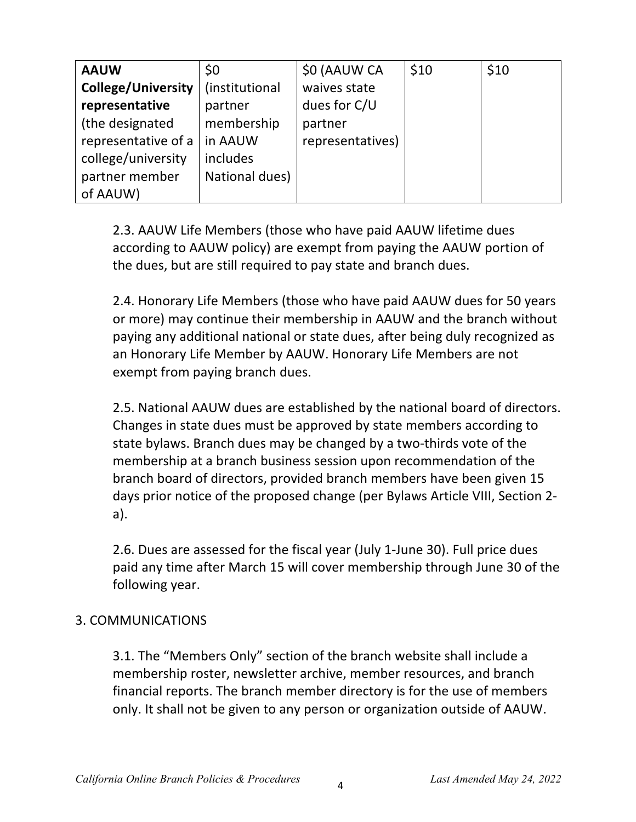| <b>AAUW</b>               | \$0            | \$0 (AAUW CA     | \$10 | \$10 |
|---------------------------|----------------|------------------|------|------|
| <b>College/University</b> | (institutional | waives state     |      |      |
| representative            | partner        | dues for C/U     |      |      |
| (the designated           | membership     | partner          |      |      |
| representative of a       | in AAUW        | representatives) |      |      |
| college/university        | includes       |                  |      |      |
| partner member            | National dues) |                  |      |      |
| of AAUW)                  |                |                  |      |      |

2.3. AAUW Life Members (those who have paid AAUW lifetime dues according to AAUW policy) are exempt from paying the AAUW portion of the dues, but are still required to pay state and branch dues.

2.4. Honorary Life Members (those who have paid AAUW dues for 50 years or more) may continue their membership in AAUW and the branch without paying any additional national or state dues, after being duly recognized as an Honorary Life Member by AAUW. Honorary Life Members are not exempt from paying branch dues.

2.5. National AAUW dues are established by the national board of directors. Changes in state dues must be approved by state members according to state bylaws. Branch dues may be changed by a two-thirds vote of the membership at a branch business session upon recommendation of the branch board of directors, provided branch members have been given 15 days prior notice of the proposed change (per Bylaws Article VIII, Section 2 a).

2.6. Dues are assessed for the fiscal year (July 1-June 30). Full price dues paid any time after March 15 will cover membership through June 30 of the following year.

#### 3. COMMUNICATIONS

3.1. The "Members Only" section of the branch website shall include a membership roster, newsletter archive, member resources, and branch financial reports. The branch member directory is for the use of members only. It shall not be given to any person or organization outside of AAUW.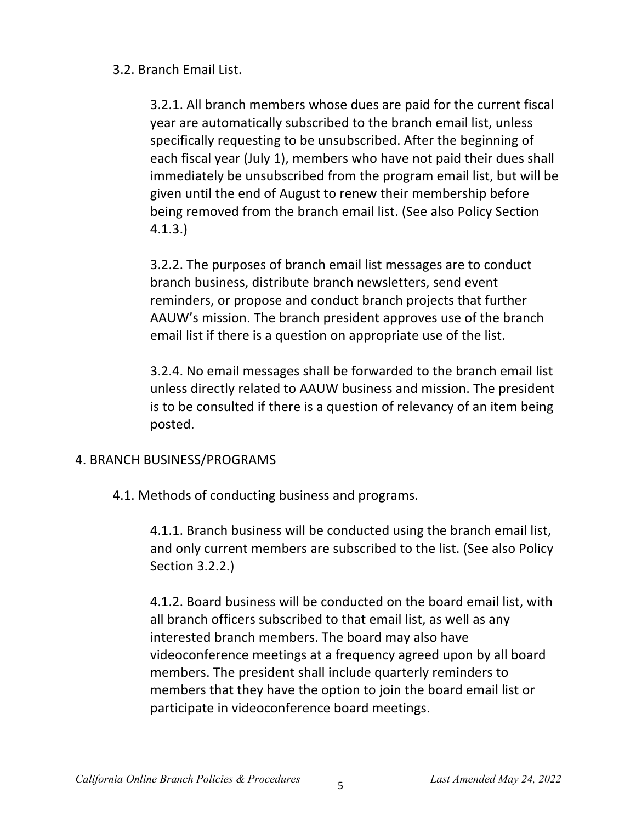### 3.2. Branch Email List.

3.2.1. All branch members whose dues are paid for the current fiscal year are automatically subscribed to the branch email list, unless specifically requesting to be unsubscribed. After the beginning of each fiscal year (July 1), members who have not paid their dues shall immediately be unsubscribed from the program email list, but will be given until the end of August to renew their membership before being removed from the branch email list. (See also Policy Section 4.1.3.)

3.2.2. The purposes of branch email list messages are to conduct branch business, distribute branch newsletters, send event reminders, or propose and conduct branch projects that further AAUW's mission. The branch president approves use of the branch email list if there is a question on appropriate use of the list.

3.2.4. No email messages shall be forwarded to the branch email list unless directly related to AAUW business and mission. The president is to be consulted if there is a question of relevancy of an item being posted.

#### 4. BRANCH BUSINESS/PROGRAMS

4.1. Methods of conducting business and programs.

4.1.1. Branch business will be conducted using the branch email list, and only current members are subscribed to the list. (See also Policy Section 3.2.2.)

4.1.2. Board business will be conducted on the board email list, with all branch officers subscribed to that email list, as well as any interested branch members. The board may also have videoconference meetings at a frequency agreed upon by all board members. The president shall include quarterly reminders to members that they have the option to join the board email list or participate in videoconference board meetings.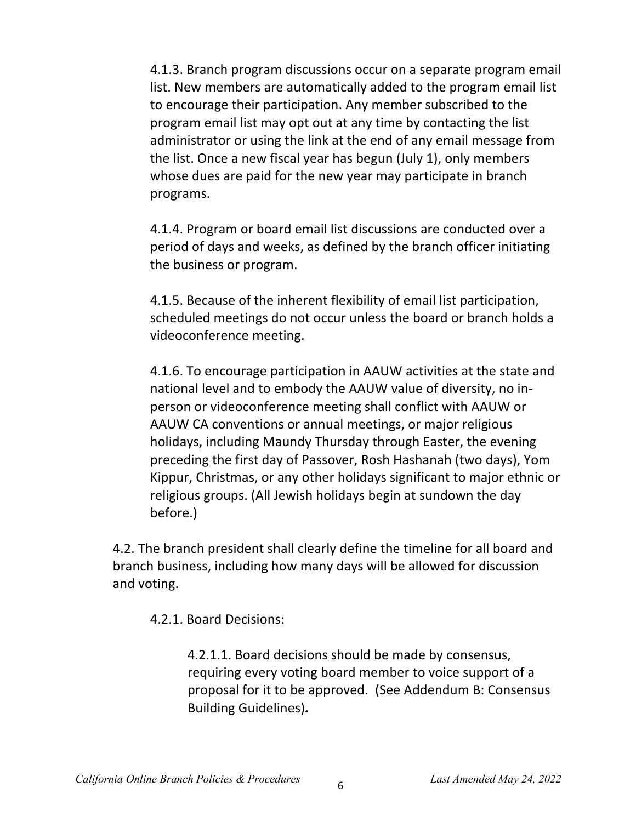4.1.3. Branch program discussions occur on a separate program email list. New members are automatically added to the program email list to encourage their participation. Any member subscribed to the program email list may opt out at any time by contacting the list administrator or using the link at the end of any email message from the list. Once a new fiscal year has begun (July 1), only members whose dues are paid for the new year may participate in branch programs.

4.1.4. Program or board email list discussions are conducted over a period of days and weeks, as defined by the branch officer initiating the business or program.

4.1.5. Because of the inherent flexibility of email list participation, scheduled meetings do not occur unless the board or branch holds a videoconference meeting.

4.1.6. To encourage participation in AAUW activities at the state and national level and to embody the AAUW value of diversity, no inperson or videoconference meeting shall conflict with AAUW or AAUW CA conventions or annual meetings, or major religious holidays, including Maundy Thursday through Easter, the evening preceding the first day of Passover, Rosh Hashanah (two days), Yom Kippur, Christmas, or any other holidays significant to major ethnic or religious groups. (All Jewish holidays begin at sundown the day before.)

4.2. The branch president shall clearly define the timeline for all board and branch business, including how many days will be allowed for discussion and voting.

4.2.1. Board Decisions:

4.2.1.1. Board decisions should be made by consensus, requiring every voting board member to voice support of a proposal for it to be approved. (See Addendum B: Consensus Building Guidelines)*.*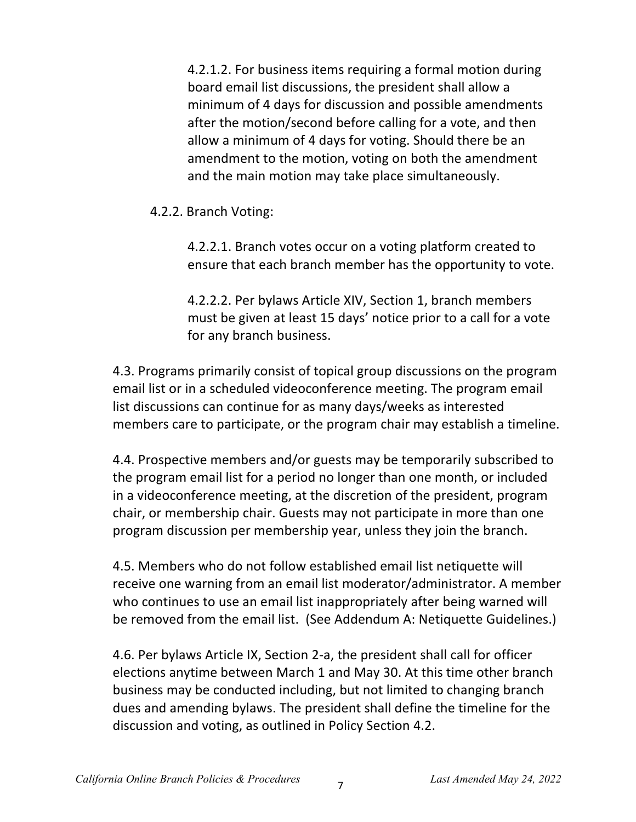4.2.1.2. For business items requiring a formal motion during board email list discussions, the president shall allow a minimum of 4 days for discussion and possible amendments after the motion/second before calling for a vote, and then allow a minimum of 4 days for voting. Should there be an amendment to the motion, voting on both the amendment and the main motion may take place simultaneously.

4.2.2. Branch Voting:

4.2.2.1. Branch votes occur on a voting platform created to ensure that each branch member has the opportunity to vote.

4.2.2.2. Per bylaws Article XIV, Section 1, branch members must be given at least 15 days' notice prior to a call for a vote for any branch business.

4.3. Programs primarily consist of topical group discussions on the program email list or in a scheduled videoconference meeting. The program email list discussions can continue for as many days/weeks as interested members care to participate, or the program chair may establish a timeline.

4.4. Prospective members and/or guests may be temporarily subscribed to the program email list for a period no longer than one month, or included in a videoconference meeting, at the discretion of the president, program chair, or membership chair. Guests may not participate in more than one program discussion per membership year, unless they join the branch.

4.5. Members who do not follow established email list netiquette will receive one warning from an email list moderator/administrator. A member who continues to use an email list inappropriately after being warned will be removed from the email list. (See Addendum A: Netiquette Guidelines.)

4.6. Per bylaws Article IX, Section 2-a, the president shall call for officer elections anytime between March 1 and May 30. At this time other branch business may be conducted including, but not limited to changing branch dues and amending bylaws. The president shall define the timeline for the discussion and voting, as outlined in Policy Section 4.2.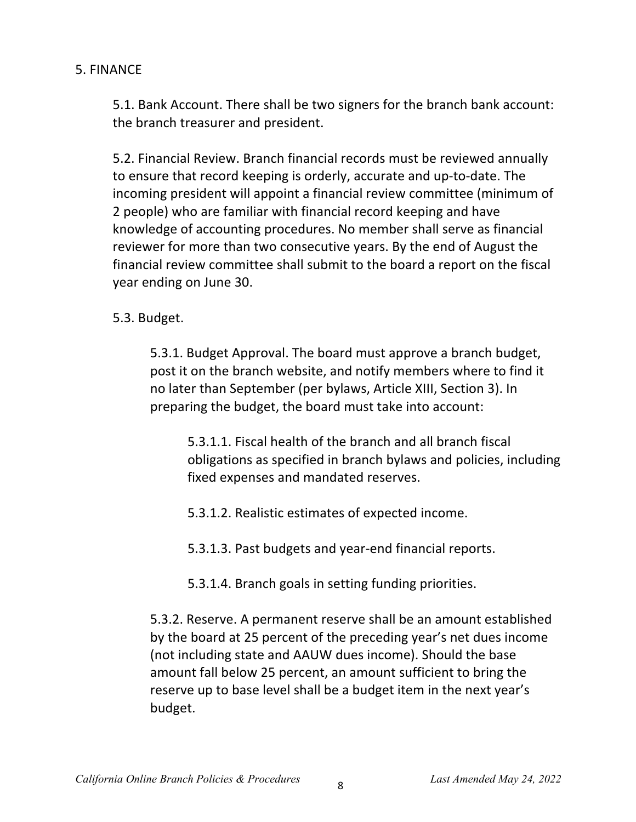### 5. FINANCE

5.1. Bank Account. There shall be two signers for the branch bank account: the branch treasurer and president.

5.2. Financial Review. Branch financial records must be reviewed annually to ensure that record keeping is orderly, accurate and up-to-date. The incoming president will appoint a financial review committee (minimum of 2 people) who are familiar with financial record keeping and have knowledge of accounting procedures. No member shall serve as financial reviewer for more than two consecutive years. By the end of August the financial review committee shall submit to the board a report on the fiscal year ending on June 30.

5.3. Budget.

5.3.1. Budget Approval. The board must approve a branch budget, post it on the branch website, and notify members where to find it no later than September (per bylaws, Article XIII, Section 3). In preparing the budget, the board must take into account:

5.3.1.1. Fiscal health of the branch and all branch fiscal obligations as specified in branch bylaws and policies, including fixed expenses and mandated reserves.

- 5.3.1.2. Realistic estimates of expected income.
- 5.3.1.3. Past budgets and year-end financial reports.
- 5.3.1.4. Branch goals in setting funding priorities.

5.3.2. Reserve. A permanent reserve shall be an amount established by the board at 25 percent of the preceding year's net dues income (not including state and AAUW dues income). Should the base amount fall below 25 percent, an amount sufficient to bring the reserve up to base level shall be a budget item in the next year's budget.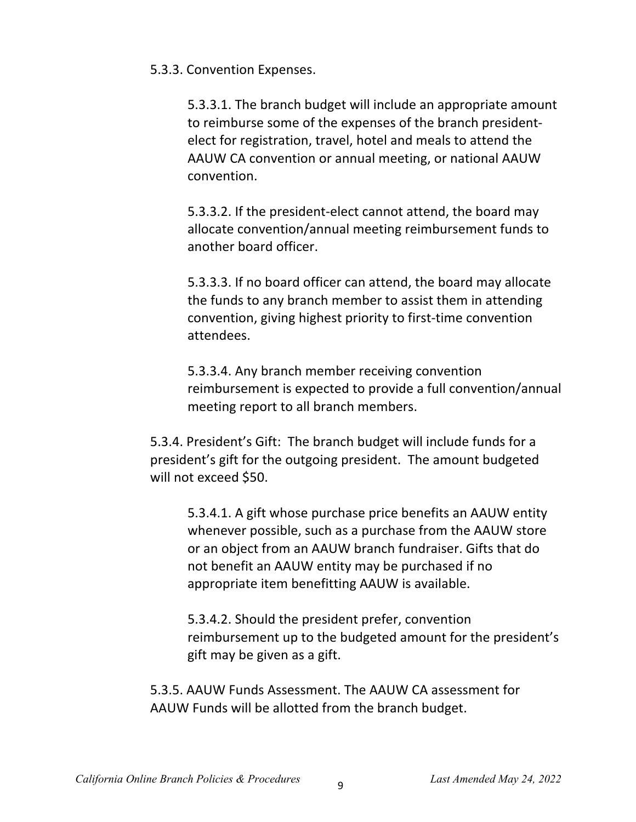5.3.3. Convention Expenses.

5.3.3.1. The branch budget will include an appropriate amount to reimburse some of the expenses of the branch presidentelect for registration, travel, hotel and meals to attend the AAUW CA convention or annual meeting, or national AAUW convention.

5.3.3.2. If the president-elect cannot attend, the board may allocate convention/annual meeting reimbursement funds to another board officer.

5.3.3.3. If no board officer can attend, the board may allocate the funds to any branch member to assist them in attending convention, giving highest priority to first-time convention attendees.

5.3.3.4. Any branch member receiving convention reimbursement is expected to provide a full convention/annual meeting report to all branch members.

5.3.4. President's Gift: The branch budget will include funds for a president's gift for the outgoing president. The amount budgeted will not exceed \$50.

5.3.4.1. A gift whose purchase price benefits an AAUW entity whenever possible, such as a purchase from the AAUW store or an object from an AAUW branch fundraiser. Gifts that do not benefit an AAUW entity may be purchased if no appropriate item benefitting AAUW is available.

5.3.4.2. Should the president prefer, convention reimbursement up to the budgeted amount for the president's gift may be given as a gift.

5.3.5. AAUW Funds Assessment. The AAUW CA assessment for AAUW Funds will be allotted from the branch budget.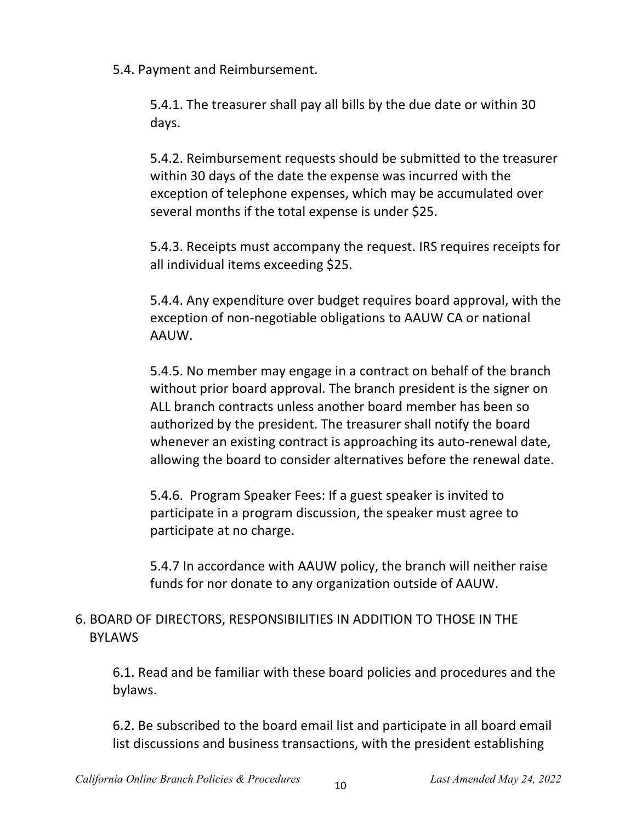5.4. Payment and Reimbursement.

5.4.1. The treasurer shall pay all bills by the due date or within 30 days.

5.4.2. Reimbursement requests should be submitted to the treasurer within 30 days of the date the expense was incurred with the exception of telephone expenses, which may be accumulated over several months if the total expense is under \$25.

5.4.3. Receipts must accompany the request. IRS requires receipts for all individual items exceeding \$25.

5.4.4. Any expenditure over budget requires board approval, with the exception of non-negotiable obligations to AAUW CA or national AAUW.

5.4.5. No member may engage in a contract on behalf of the branch without prior board approval. The branch president is the signer on ALL branch contracts unless another board member has been so authorized by the president. The treasurer shall notify the board whenever an existing contract is approaching its auto-renewal date, allowing the board to consider alternatives before the renewal date.

5.4.6. Program Speaker Fees: If a guest speaker is invited to participate in a program discussion, the speaker must agree to participate at no charge.

5.4.7 In accordance with AAUW policy, the branch will neither raise funds for nor donate to any organization outside of AAUW.

# 6. BOARD OF DIRECTORS, RESPONSIBILITIES IN ADDITION TO THOSE IN THE BYLAWS

6.1. Read and be familiar with these board policies and procedures and the bylaws.

6.2. Be subscribed to the board email list and participate in all board email list discussions and business transactions, with the president establishing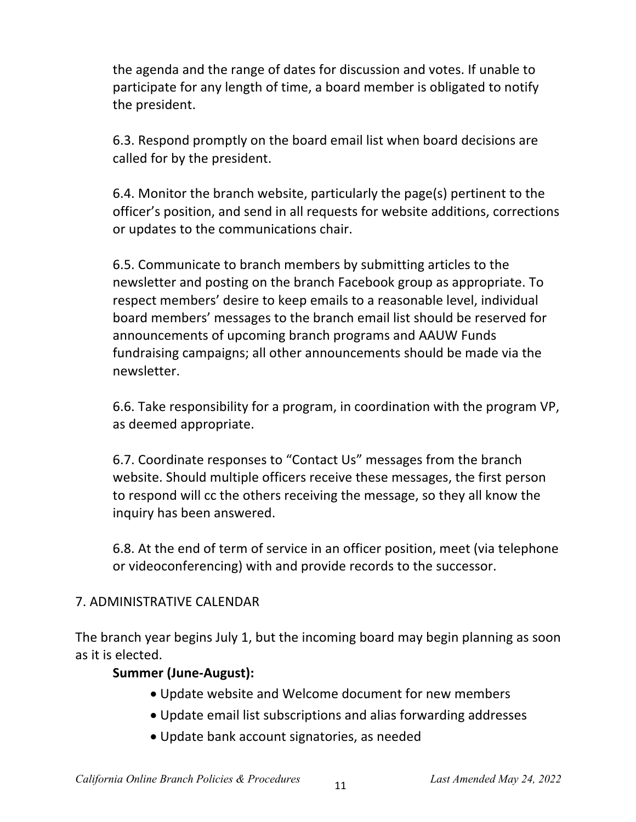the agenda and the range of dates for discussion and votes. If unable to participate for any length of time, a board member is obligated to notify the president.

6.3. Respond promptly on the board email list when board decisions are called for by the president.

6.4. Monitor the branch website, particularly the page(s) pertinent to the officer's position, and send in all requests for website additions, corrections or updates to the communications chair.

6.5. Communicate to branch members by submitting articles to the newsletter and posting on the branch Facebook group as appropriate. To respect members' desire to keep emails to a reasonable level, individual board members' messages to the branch email list should be reserved for announcements of upcoming branch programs and AAUW Funds fundraising campaigns; all other announcements should be made via the newsletter.

6.6. Take responsibility for a program, in coordination with the program VP, as deemed appropriate.

6.7. Coordinate responses to "Contact Us" messages from the branch website. Should multiple officers receive these messages, the first person to respond will cc the others receiving the message, so they all know the inquiry has been answered.

6.8. At the end of term of service in an officer position, meet (via telephone or videoconferencing) with and provide records to the successor.

#### 7. ADMINISTRATIVE CALENDAR

The branch year begins July 1, but the incoming board may begin planning as soon as it is elected.

#### **Summer (June-August):**

- Update website and Welcome document for new members
- Update email list subscriptions and alias forwarding addresses
- Update bank account signatories, as needed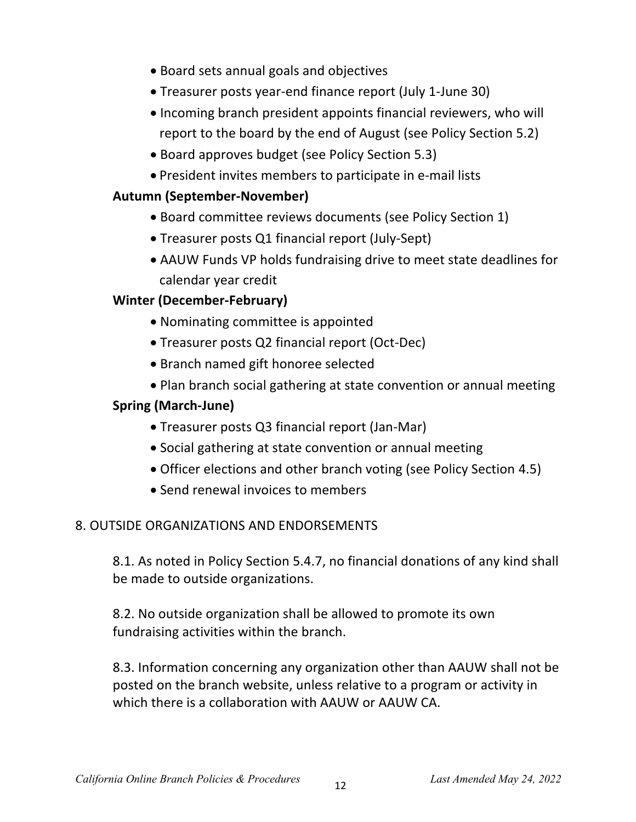- Board sets annual goals and objectives
- Treasurer posts year-end finance report (July 1-June 30)
- Incoming branch president appoints financial reviewers, who will report to the board by the end of August (see Policy Section 5.2)
- Board approves budget (see Policy Section 5.3)
- President invites members to participate in e-mail lists

# **Autumn (September-November)**

- Board committee reviews documents (see Policy Section 1)
- Treasurer posts Q1 financial report (July-Sept)
- AAUW Funds VP holds fundraising drive to meet state deadlines for calendar year credit

# **Winter (December-February)**

- Nominating committee is appointed
- Treasurer posts Q2 financial report (Oct-Dec)
- Branch named gift honoree selected
- Plan branch social gathering at state convention or annual meeting

# **Spring (March-June)**

- Treasurer posts Q3 financial report (Jan-Mar)
- Social gathering at state convention or annual meeting
- Officer elections and other branch voting (see Policy Section 4.5)
- Send renewal invoices to members

## 8. OUTSIDE ORGANIZATIONS AND ENDORSEMENTS

8.1. As noted in Policy Section 5.4.7, no financial donations of any kind shall be made to outside organizations.

8.2. No outside organization shall be allowed to promote its own fundraising activities within the branch.

8.3. Information concerning any organization other than AAUW shall not be posted on the branch website, unless relative to a program or activity in which there is a collaboration with AAUW or AAUW CA.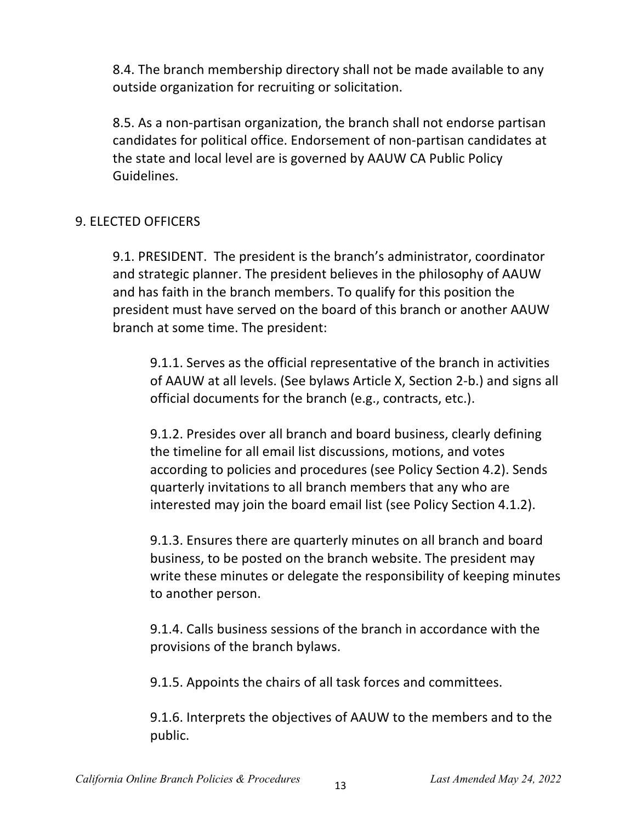8.4. The branch membership directory shall not be made available to any outside organization for recruiting or solicitation.

8.5. As a non-partisan organization, the branch shall not endorse partisan candidates for political office. Endorsement of non-partisan candidates at the state and local level are is governed by AAUW CA Public Policy Guidelines.

### 9. ELECTED OFFICERS

9.1. PRESIDENT. The president is the branch's administrator, coordinator and strategic planner. The president believes in the philosophy of AAUW and has faith in the branch members. To qualify for this position the president must have served on the board of this branch or another AAUW branch at some time. The president:

9.1.1. Serves as the official representative of the branch in activities of AAUW at all levels. (See bylaws Article X, Section 2-b.) and signs all official documents for the branch (e.g., contracts, etc.).

9.1.2. Presides over all branch and board business, clearly defining the timeline for all email list discussions, motions, and votes according to policies and procedures (see Policy Section 4.2). Sends quarterly invitations to all branch members that any who are interested may join the board email list (see Policy Section 4.1.2).

9.1.3. Ensures there are quarterly minutes on all branch and board business, to be posted on the branch website. The president may write these minutes or delegate the responsibility of keeping minutes to another person.

9.1.4. Calls business sessions of the branch in accordance with the provisions of the branch bylaws.

9.1.5. Appoints the chairs of all task forces and committees.

9.1.6. Interprets the objectives of AAUW to the members and to the public.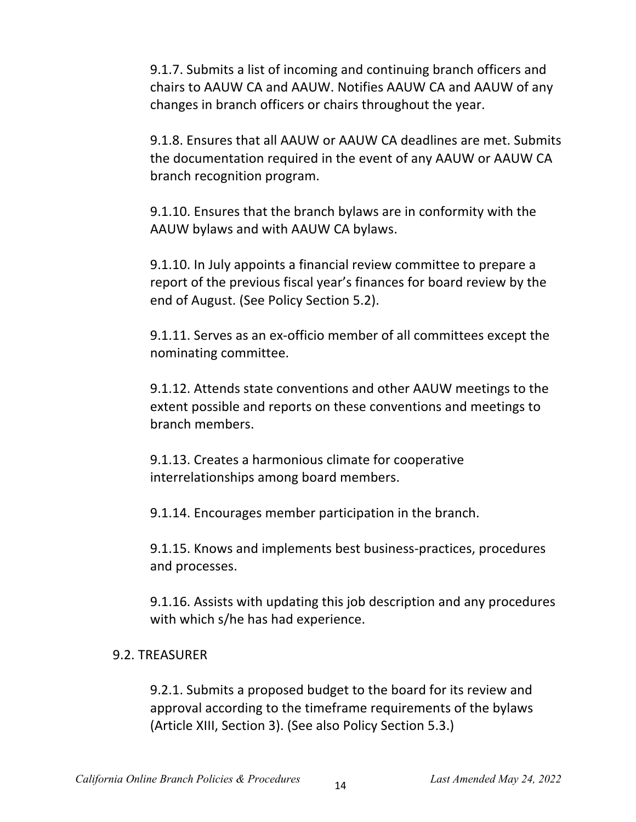9.1.7. Submits a list of incoming and continuing branch officers and chairs to AAUW CA and AAUW. Notifies AAUW CA and AAUW of any changes in branch officers or chairs throughout the year.

9.1.8. Ensures that all AAUW or AAUW CA deadlines are met. Submits the documentation required in the event of any AAUW or AAUW CA branch recognition program.

9.1.10. Ensures that the branch bylaws are in conformity with the AAUW bylaws and with AAUW CA bylaws.

9.1.10. In July appoints a financial review committee to prepare a report of the previous fiscal year's finances for board review by the end of August. (See Policy Section 5.2).

9.1.11. Serves as an ex-officio member of all committees except the nominating committee.

9.1.12. Attends state conventions and other AAUW meetings to the extent possible and reports on these conventions and meetings to branch members.

9.1.13. Creates a harmonious climate for cooperative interrelationships among board members.

9.1.14. Encourages member participation in the branch.

9.1.15. Knows and implements best business-practices, procedures and processes.

9.1.16. Assists with updating this job description and any procedures with which s/he has had experience.

#### 9.2. TREASURER

9.2.1. Submits a proposed budget to the board for its review and approval according to the timeframe requirements of the bylaws (Article XIII, Section 3). (See also Policy Section 5.3.)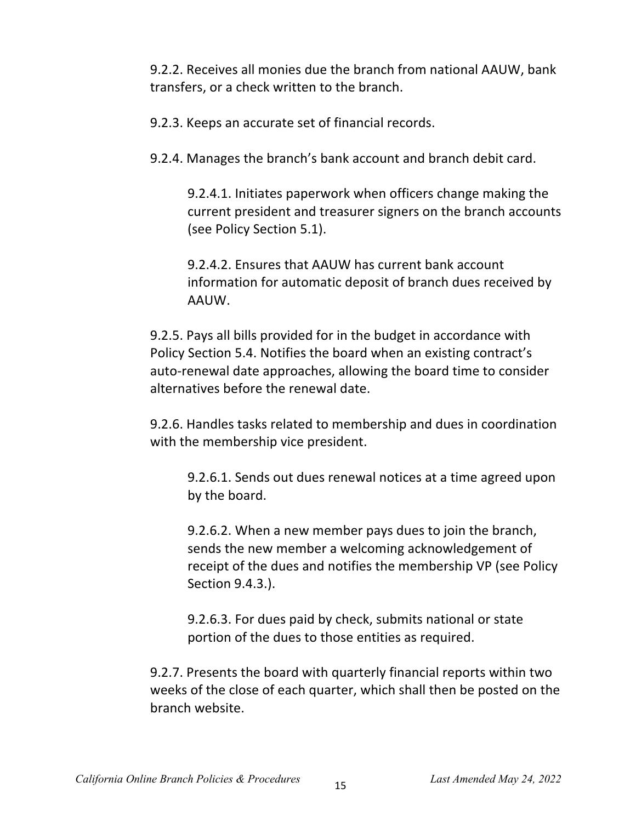9.2.2. Receives all monies due the branch from national AAUW, bank transfers, or a check written to the branch.

9.2.3. Keeps an accurate set of financial records.

9.2.4. Manages the branch's bank account and branch debit card.

9.2.4.1. Initiates paperwork when officers change making the current president and treasurer signers on the branch accounts (see Policy Section 5.1).

9.2.4.2. Ensures that AAUW has current bank account information for automatic deposit of branch dues received by AAUW.

9.2.5. Pays all bills provided for in the budget in accordance with Policy Section 5.4. Notifies the board when an existing contract's auto-renewal date approaches, allowing the board time to consider alternatives before the renewal date.

9.2.6. Handles tasks related to membership and dues in coordination with the membership vice president.

9.2.6.1. Sends out dues renewal notices at a time agreed upon by the board.

9.2.6.2. When a new member pays dues to join the branch, sends the new member a welcoming acknowledgement of receipt of the dues and notifies the membership VP (see Policy Section 9.4.3.).

9.2.6.3. For dues paid by check, submits national or state portion of the dues to those entities as required.

9.2.7. Presents the board with quarterly financial reports within two weeks of the close of each quarter, which shall then be posted on the branch website.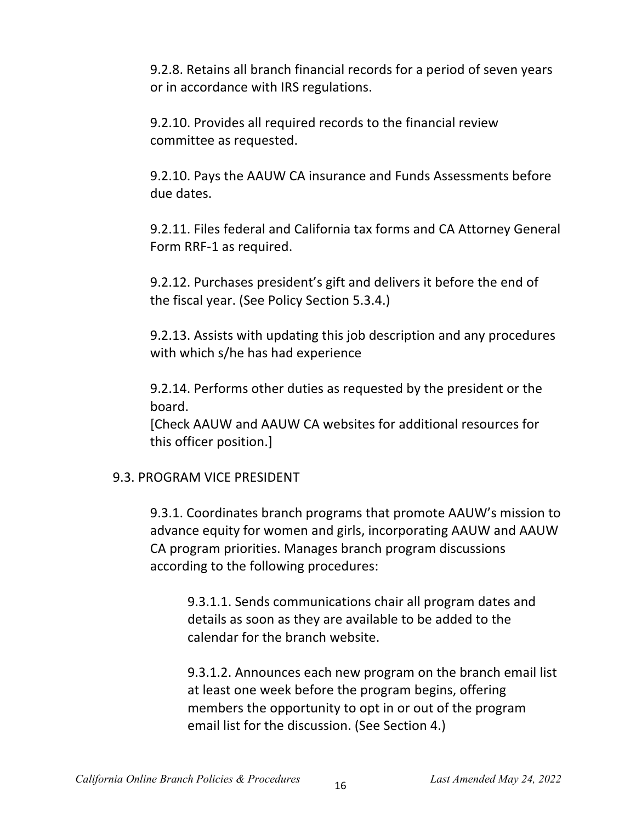9.2.8. Retains all branch financial records for a period of seven years or in accordance with IRS regulations.

9.2.10. Provides all required records to the financial review committee as requested.

9.2.10. Pays the AAUW CA insurance and Funds Assessments before due dates.

9.2.11. Files federal and California tax forms and CA Attorney General Form RRF-1 as required.

9.2.12. Purchases president's gift and delivers it before the end of the fiscal year. (See Policy Section 5.3.4.)

9.2.13. Assists with updating this job description and any procedures with which s/he has had experience

9.2.14. Performs other duties as requested by the president or the board.

[Check AAUW and AAUW CA websites for additional resources for this officer position.]

#### 9.3. PROGRAM VICE PRESIDENT

9.3.1. Coordinates branch programs that promote AAUW's mission to advance equity for women and girls, incorporating AAUW and AAUW CA program priorities. Manages branch program discussions according to the following procedures:

9.3.1.1. Sends communications chair all program dates and details as soon as they are available to be added to the calendar for the branch website.

9.3.1.2. Announces each new program on the branch email list at least one week before the program begins, offering members the opportunity to opt in or out of the program email list for the discussion. (See Section 4.)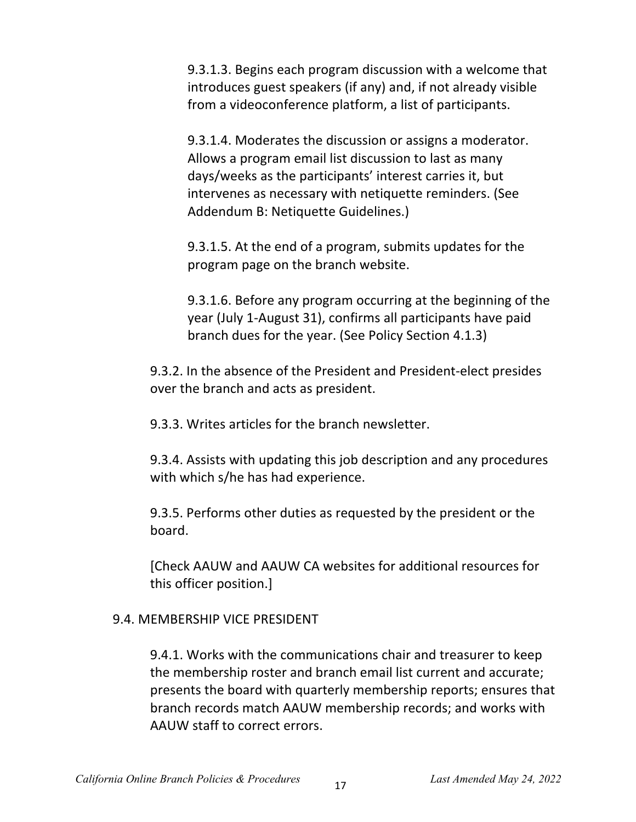9.3.1.3. Begins each program discussion with a welcome that introduces guest speakers (if any) and, if not already visible from a videoconference platform, a list of participants.

9.3.1.4. Moderates the discussion or assigns a moderator. Allows a program email list discussion to last as many days/weeks as the participants' interest carries it, but intervenes as necessary with netiquette reminders. (See Addendum B: Netiquette Guidelines.)

9.3.1.5. At the end of a program, submits updates for the program page on the branch website.

9.3.1.6. Before any program occurring at the beginning of the year (July 1-August 31), confirms all participants have paid branch dues for the year. (See Policy Section 4.1.3)

9.3.2. In the absence of the President and President-elect presides over the branch and acts as president.

9.3.3. Writes articles for the branch newsletter.

9.3.4. Assists with updating this job description and any procedures with which s/he has had experience.

9.3.5. Performs other duties as requested by the president or the board.

[Check AAUW and AAUW CA websites for additional resources for this officer position.]

#### 9.4. MEMBERSHIP VICE PRESIDENT

9.4.1. Works with the communications chair and treasurer to keep the membership roster and branch email list current and accurate; presents the board with quarterly membership reports; ensures that branch records match AAUW membership records; and works with AAUW staff to correct errors.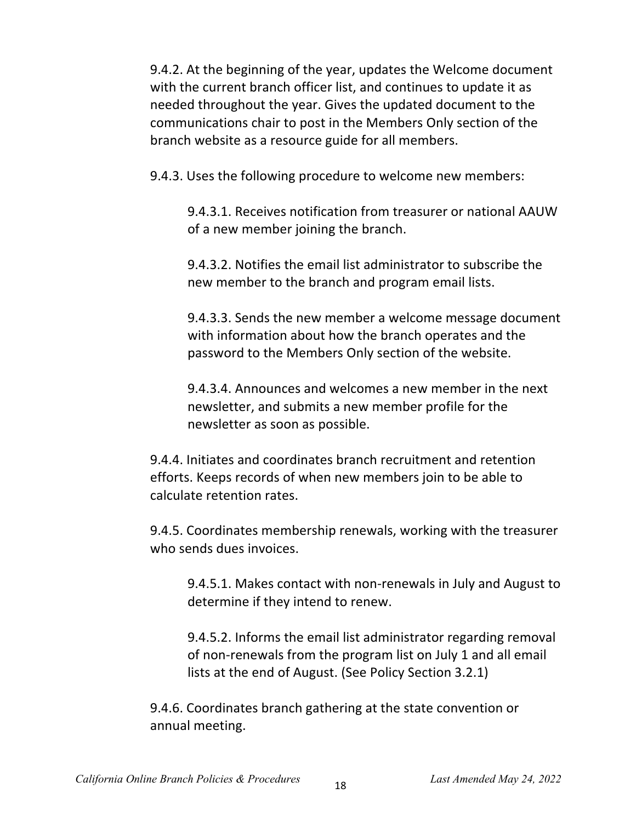9.4.2. At the beginning of the year, updates the Welcome document with the current branch officer list, and continues to update it as needed throughout the year. Gives the updated document to the communications chair to post in the Members Only section of the branch website as a resource guide for all members.

9.4.3. Uses the following procedure to welcome new members:

9.4.3.1. Receives notification from treasurer or national AAUW of a new member joining the branch.

9.4.3.2. Notifies the email list administrator to subscribe the new member to the branch and program email lists.

9.4.3.3. Sends the new member a welcome message document with information about how the branch operates and the password to the Members Only section of the website.

9.4.3.4. Announces and welcomes a new member in the next newsletter, and submits a new member profile for the newsletter as soon as possible.

9.4.4. Initiates and coordinates branch recruitment and retention efforts. Keeps records of when new members join to be able to calculate retention rates.

9.4.5. Coordinates membership renewals, working with the treasurer who sends dues invoices.

9.4.5.1. Makes contact with non-renewals in July and August to determine if they intend to renew.

9.4.5.2. Informs the email list administrator regarding removal of non-renewals from the program list on July 1 and all email lists at the end of August. (See Policy Section 3.2.1)

9.4.6. Coordinates branch gathering at the state convention or annual meeting.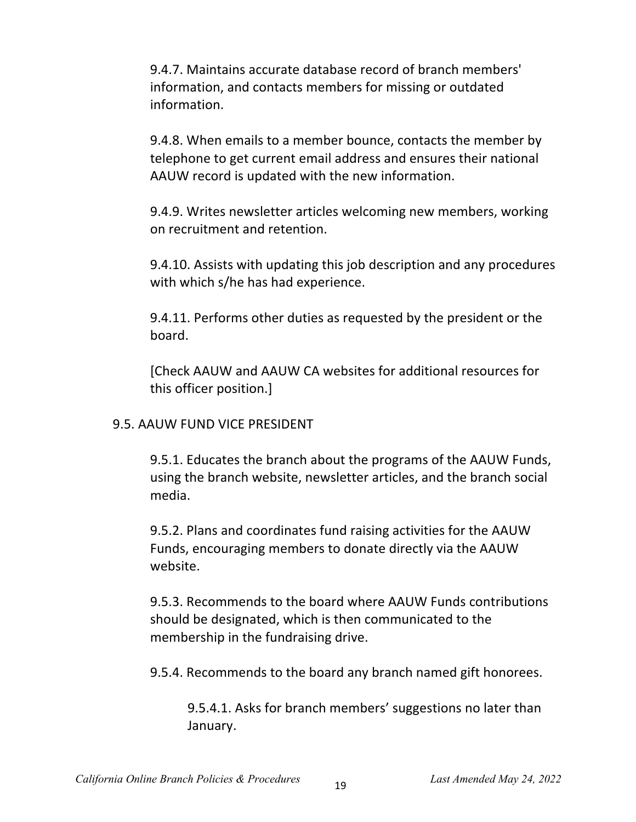9.4.7. Maintains accurate database record of branch members' information, and contacts members for missing or outdated information.

9.4.8. When emails to a member bounce, contacts the member by telephone to get current email address and ensures their national AAUW record is updated with the new information.

9.4.9. Writes newsletter articles welcoming new members, working on recruitment and retention.

9.4.10. Assists with updating this job description and any procedures with which s/he has had experience.

9.4.11. Performs other duties as requested by the president or the board.

[Check AAUW and AAUW CA websites for additional resources for this officer position.]

#### 9.5. AAUW FUND VICE PRESIDENT

9.5.1. Educates the branch about the programs of the AAUW Funds, using the branch website, newsletter articles, and the branch social media.

9.5.2. Plans and coordinates fund raising activities for the AAUW Funds, encouraging members to donate directly via the AAUW website.

9.5.3. Recommends to the board where AAUW Funds contributions should be designated, which is then communicated to the membership in the fundraising drive.

9.5.4. Recommends to the board any branch named gift honorees.

9.5.4.1. Asks for branch members' suggestions no later than January.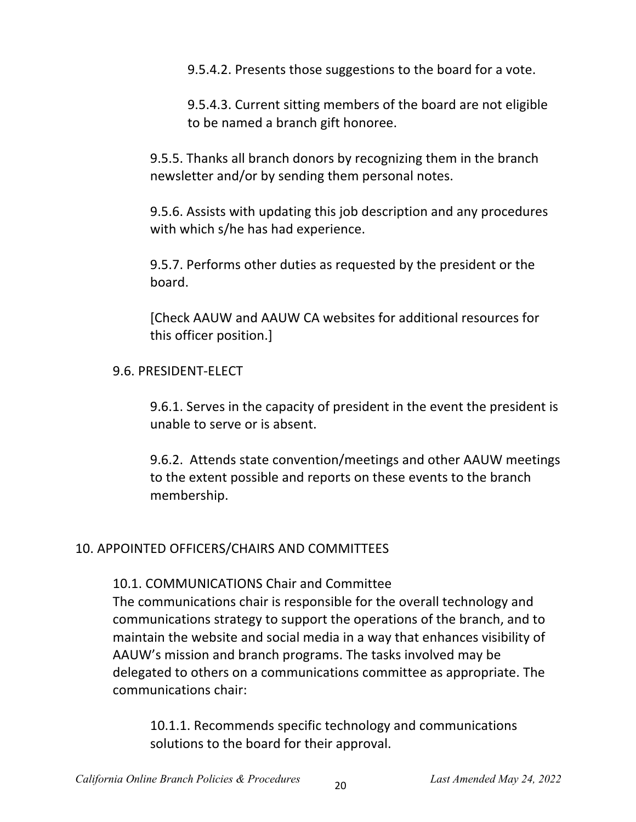9.5.4.2. Presents those suggestions to the board for a vote.

9.5.4.3. Current sitting members of the board are not eligible to be named a branch gift honoree.

9.5.5. Thanks all branch donors by recognizing them in the branch newsletter and/or by sending them personal notes.

9.5.6. Assists with updating this job description and any procedures with which s/he has had experience.

9.5.7. Performs other duties as requested by the president or the board.

[Check AAUW and AAUW CA websites for additional resources for this officer position.]

#### 9.6. PRESIDENT-ELECT

9.6.1. Serves in the capacity of president in the event the president is unable to serve or is absent.

9.6.2. Attends state convention/meetings and other AAUW meetings to the extent possible and reports on these events to the branch membership.

#### 10. APPOINTED OFFICERS/CHAIRS AND COMMITTEES

10.1. COMMUNICATIONS Chair and Committee

The communications chair is responsible for the overall technology and communications strategy to support the operations of the branch, and to maintain the website and social media in a way that enhances visibility of AAUW's mission and branch programs. The tasks involved may be delegated to others on a communications committee as appropriate. The communications chair:

10.1.1. Recommends specific technology and communications solutions to the board for their approval.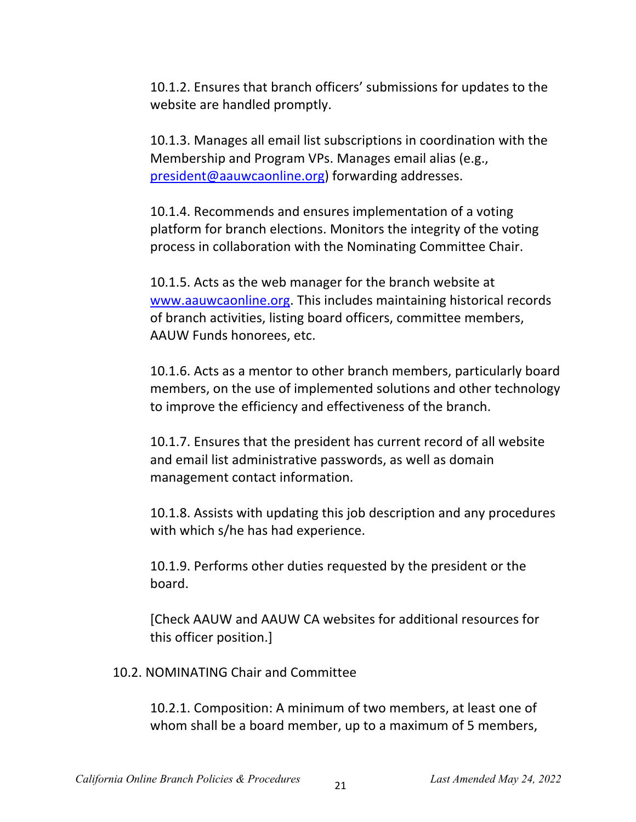10.1.2. Ensures that branch officers' submissions for updates to the website are handled promptly.

10.1.3. Manages all email list subscriptions in coordination with the Membership and Program VPs. Manages email alias (e.g., president@aauwcaonline.org) forwarding addresses.

10.1.4. Recommends and ensures implementation of a voting platform for branch elections. Monitors the integrity of the voting process in collaboration with the Nominating Committee Chair.

10.1.5. Acts as the web manager for the branch website at www.aauwcaonline.org. This includes maintaining historical records of branch activities, listing board officers, committee members, AAUW Funds honorees, etc.

10.1.6. Acts as a mentor to other branch members, particularly board members, on the use of implemented solutions and other technology to improve the efficiency and effectiveness of the branch.

10.1.7. Ensures that the president has current record of all website and email list administrative passwords, as well as domain management contact information.

10.1.8. Assists with updating this job description and any procedures with which s/he has had experience.

10.1.9. Performs other duties requested by the president or the board.

[Check AAUW and AAUW CA websites for additional resources for this officer position.]

10.2. NOMINATING Chair and Committee

10.2.1. Composition: A minimum of two members, at least one of whom shall be a board member, up to a maximum of 5 members,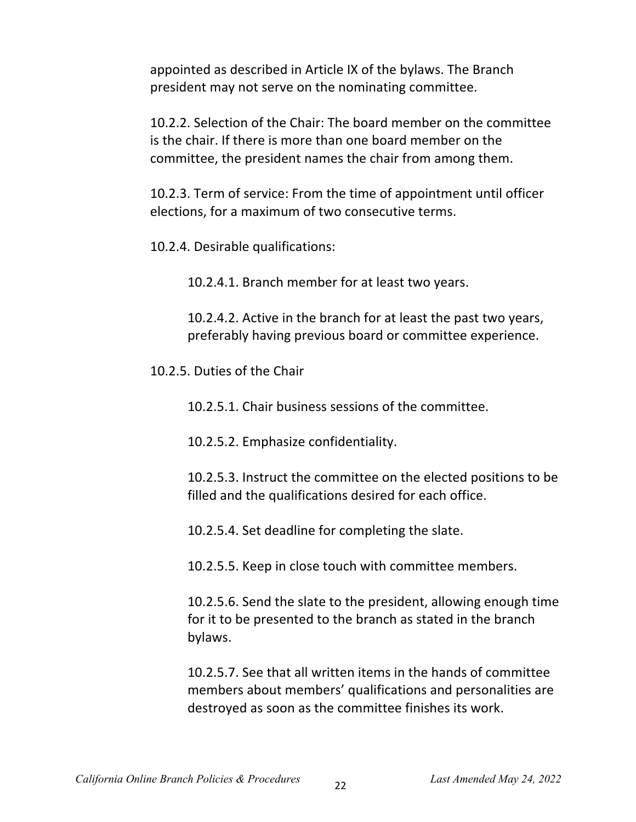appointed as described in Article IX of the bylaws. The Branch president may not serve on the nominating committee.

10.2.2. Selection of the Chair: The board member on the committee is the chair. If there is more than one board member on the committee, the president names the chair from among them.

10.2.3. Term of service: From the time of appointment until officer elections, for a maximum of two consecutive terms.

10.2.4. Desirable qualifications:

10.2.4.1. Branch member for at least two years.

10.2.4.2. Active in the branch for at least the past two years, preferably having previous board or committee experience.

10.2.5. Duties of the Chair

10.2.5.1. Chair business sessions of the committee.

10.2.5.2. Emphasize confidentiality.

10.2.5.3. Instruct the committee on the elected positions to be filled and the qualifications desired for each office.

10.2.5.4. Set deadline for completing the slate.

10.2.5.5. Keep in close touch with committee members.

10.2.5.6. Send the slate to the president, allowing enough time for it to be presented to the branch as stated in the branch bylaws.

10.2.5.7. See that all written items in the hands of committee members about members' qualifications and personalities are destroyed as soon as the committee finishes its work.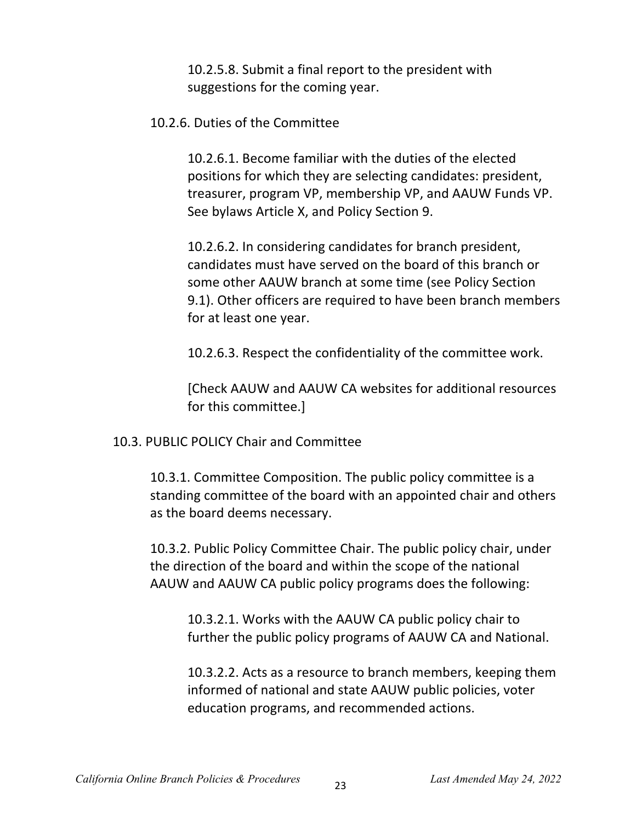10.2.5.8. Submit a final report to the president with suggestions for the coming year.

#### 10.2.6. Duties of the Committee

10.2.6.1. Become familiar with the duties of the elected positions for which they are selecting candidates: president, treasurer, program VP, membership VP, and AAUW Funds VP. See bylaws Article X, and Policy Section 9.

10.2.6.2. In considering candidates for branch president, candidates must have served on the board of this branch or some other AAUW branch at some time (see Policy Section 9.1). Other officers are required to have been branch members for at least one year.

10.2.6.3. Respect the confidentiality of the committee work.

[Check AAUW and AAUW CA websites for additional resources for this committee.]

10.3. PUBLIC POLICY Chair and Committee

10.3.1. Committee Composition. The public policy committee is a standing committee of the board with an appointed chair and others as the board deems necessary.

10.3.2. Public Policy Committee Chair. The public policy chair, under the direction of the board and within the scope of the national AAUW and AAUW CA public policy programs does the following:

10.3.2.1. Works with the AAUW CA public policy chair to further the public policy programs of AAUW CA and National.

10.3.2.2. Acts as a resource to branch members, keeping them informed of national and state AAUW public policies, voter education programs, and recommended actions.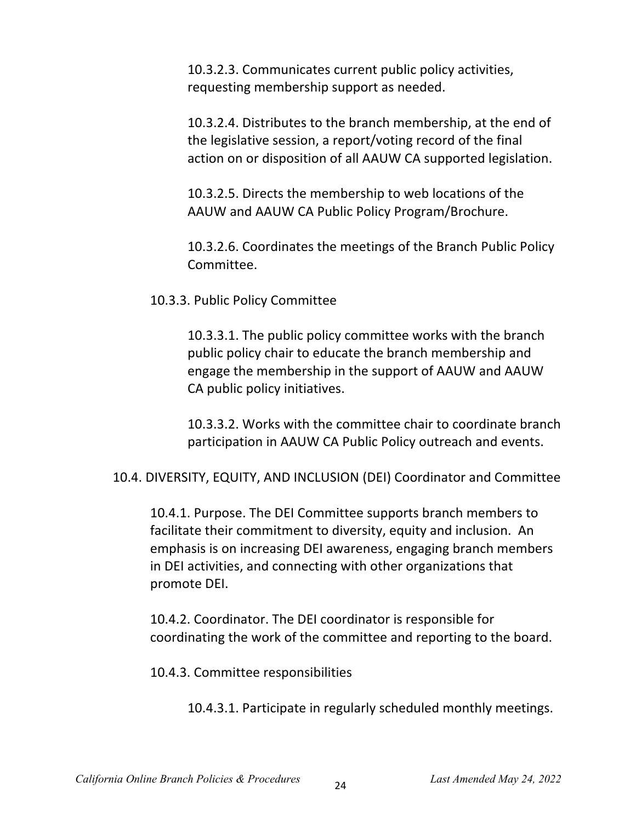10.3.2.3. Communicates current public policy activities, requesting membership support as needed.

10.3.2.4. Distributes to the branch membership, at the end of the legislative session, a report/voting record of the final action on or disposition of all AAUW CA supported legislation.

10.3.2.5. Directs the membership to web locations of the AAUW and AAUW CA Public Policy Program/Brochure.

10.3.2.6. Coordinates the meetings of the Branch Public Policy Committee.

10.3.3. Public Policy Committee

10.3.3.1. The public policy committee works with the branch public policy chair to educate the branch membership and engage the membership in the support of AAUW and AAUW CA public policy initiatives.

10.3.3.2. Works with the committee chair to coordinate branch participation in AAUW CA Public Policy outreach and events.

10.4. DIVERSITY, EQUITY, AND INCLUSION (DEI) Coordinator and Committee

10.4.1. Purpose. The DEI Committee supports branch members to facilitate their commitment to diversity, equity and inclusion. An emphasis is on increasing DEI awareness, engaging branch members in DEI activities, and connecting with other organizations that promote DEI.

10.4.2. Coordinator. The DEI coordinator is responsible for coordinating the work of the committee and reporting to the board.

10.4.3. Committee responsibilities

10.4.3.1. Participate in regularly scheduled monthly meetings.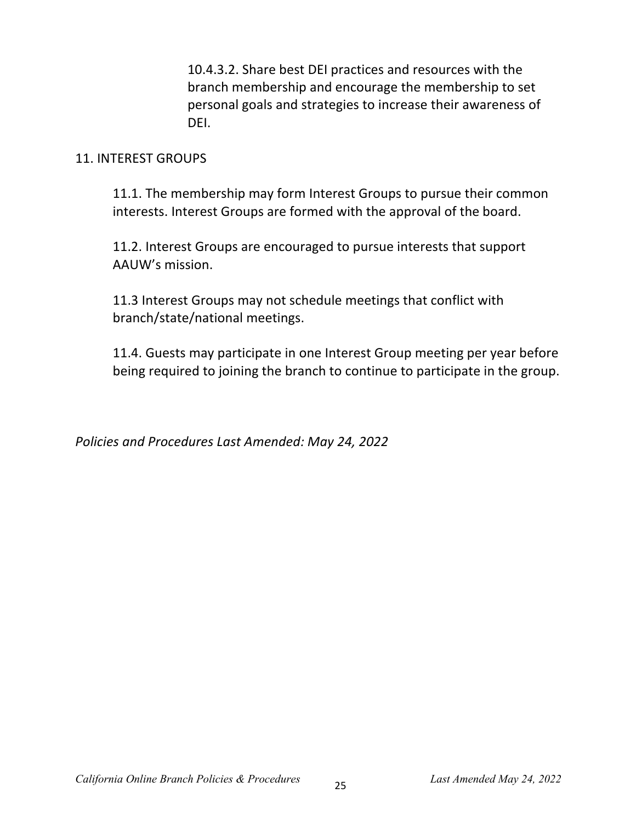10.4.3.2. Share best DEI practices and resources with the branch membership and encourage the membership to set personal goals and strategies to increase their awareness of DEI.

#### 11. INTEREST GROUPS

11.1. The membership may form Interest Groups to pursue their common interests. Interest Groups are formed with the approval of the board.

11.2. Interest Groups are encouraged to pursue interests that support AAUW's mission.

11.3 Interest Groups may not schedule meetings that conflict with branch/state/national meetings.

11.4. Guests may participate in one Interest Group meeting per year before being required to joining the branch to continue to participate in the group.

*Policies and Procedures Last Amended: May 24, 2022*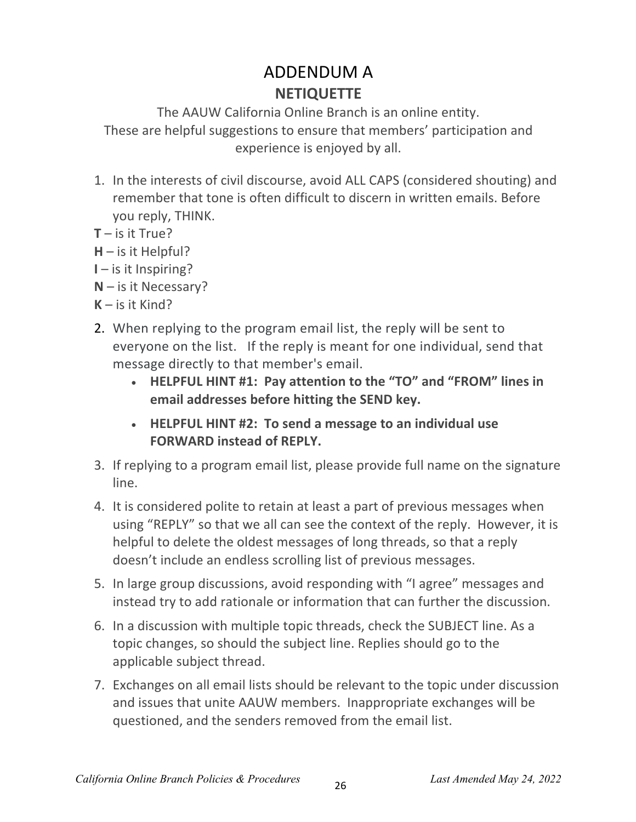# ADDENDUM A **NETIQUETTE**

The AAUW California Online Branch is an online entity. These are helpful suggestions to ensure that members' participation and experience is enjoyed by all.

- 1. In the interests of civil discourse, avoid ALL CAPS (considered shouting) and remember that tone is often difficult to discern in written emails. Before you reply, THINK.
- $T -$  is it True?
- **H** is it Helpful?
- **I** is it Inspiring?
- **N** is it Necessary?
- **K** is it Kind?
- 2. When replying to the program email list, the reply will be sent to everyone on the list. If the reply is meant for one individual, send that message directly to that member's email.
	- **HELPFUL HINT #1: Pay attention to the "TO" and "FROM" lines in email addresses before hitting the SEND key.**
	- **HELPFUL HINT #2: To send a message to an individual use FORWARD instead of REPLY.**
- 3. If replying to a program email list, please provide full name on the signature line.
- 4. It is considered polite to retain at least a part of previous messages when using "REPLY" so that we all can see the context of the reply. However, it is helpful to delete the oldest messages of long threads, so that a reply doesn't include an endless scrolling list of previous messages.
- 5. In large group discussions, avoid responding with "I agree" messages and instead try to add rationale or information that can further the discussion.
- 6. In a discussion with multiple topic threads, check the SUBJECT line. As a topic changes, so should the subject line. Replies should go to the applicable subject thread.
- 7. Exchanges on all email lists should be relevant to the topic under discussion and issues that unite AAUW members. Inappropriate exchanges will be questioned, and the senders removed from the email list.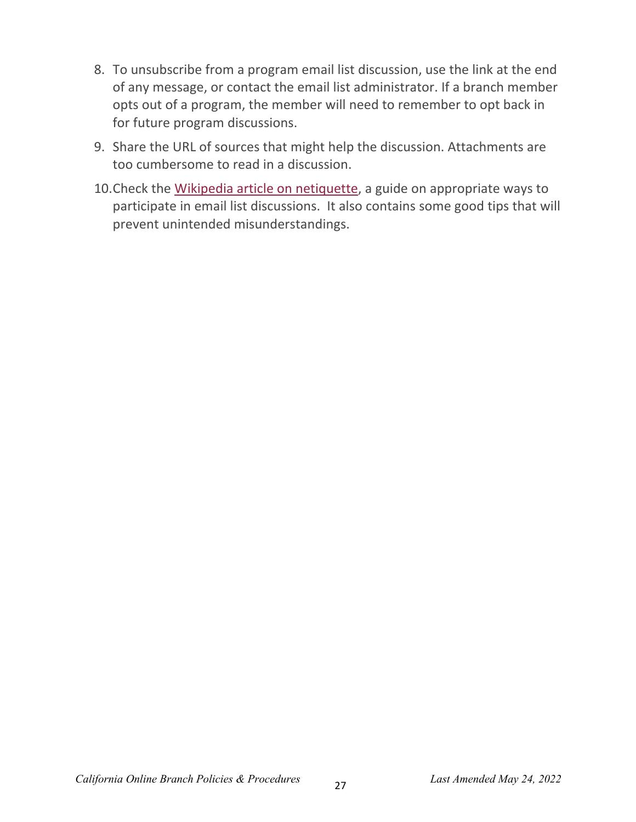- 8. To unsubscribe from a program email list discussion, use the link at the end of any message, or contact the email list administrator. If a branch member opts out of a program, the member will need to remember to opt back in for future program discussions.
- 9. Share the URL of sources that might help the discussion. Attachments are too cumbersome to read in a discussion.
- 10.Check the Wikipedia article on netiquette, a guide on appropriate ways to participate in email list discussions. It also contains some good tips that will prevent unintended misunderstandings.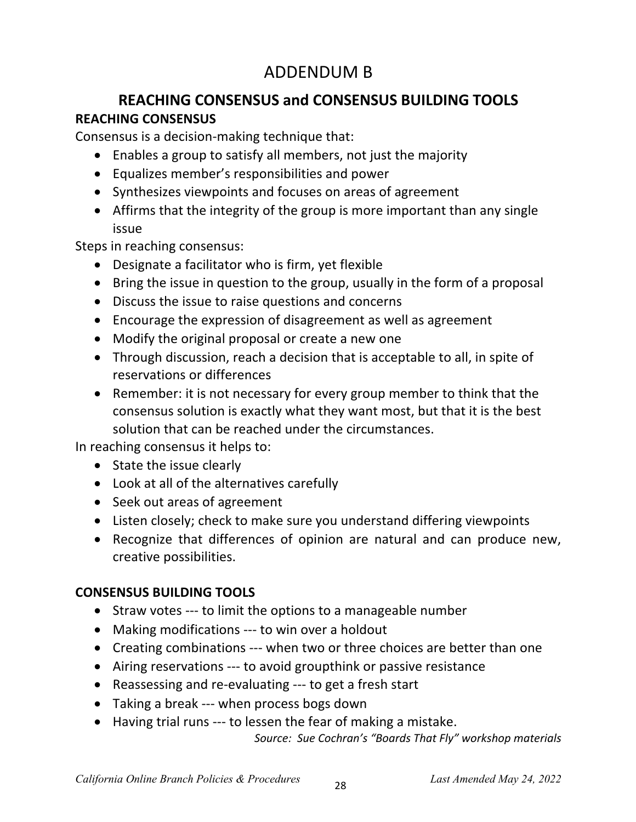# ADDENDUM B

# **REACHING CONSENSUS and CONSENSUS BUILDING TOOLS REACHING CONSENSUS**

Consensus is a decision-making technique that:

- Enables a group to satisfy all members, not just the majority
- Equalizes member's responsibilities and power
- Synthesizes viewpoints and focuses on areas of agreement
- Affirms that the integrity of the group is more important than any single issue

Steps in reaching consensus:

- Designate a facilitator who is firm, yet flexible
- Bring the issue in question to the group, usually in the form of a proposal
- Discuss the issue to raise questions and concerns
- Encourage the expression of disagreement as well as agreement
- Modify the original proposal or create a new one
- Through discussion, reach a decision that is acceptable to all, in spite of reservations or differences
- Remember: it is not necessary for every group member to think that the consensus solution is exactly what they want most, but that it is the best solution that can be reached under the circumstances.

In reaching consensus it helps to:

- State the issue clearly
- Look at all of the alternatives carefully
- Seek out areas of agreement
- Listen closely; check to make sure you understand differing viewpoints
- Recognize that differences of opinion are natural and can produce new, creative possibilities.

## **CONSENSUS BUILDING TOOLS**

- Straw votes --- to limit the options to a manageable number
- Making modifications --- to win over a holdout
- Creating combinations --- when two or three choices are better than one
- Airing reservations --- to avoid groupthink or passive resistance
- Reassessing and re-evaluating --- to get a fresh start
- Taking a break --- when process bogs down
- Having trial runs --- to lessen the fear of making a mistake.

*Source: Sue Cochran's "Boards That Fly" workshop materials*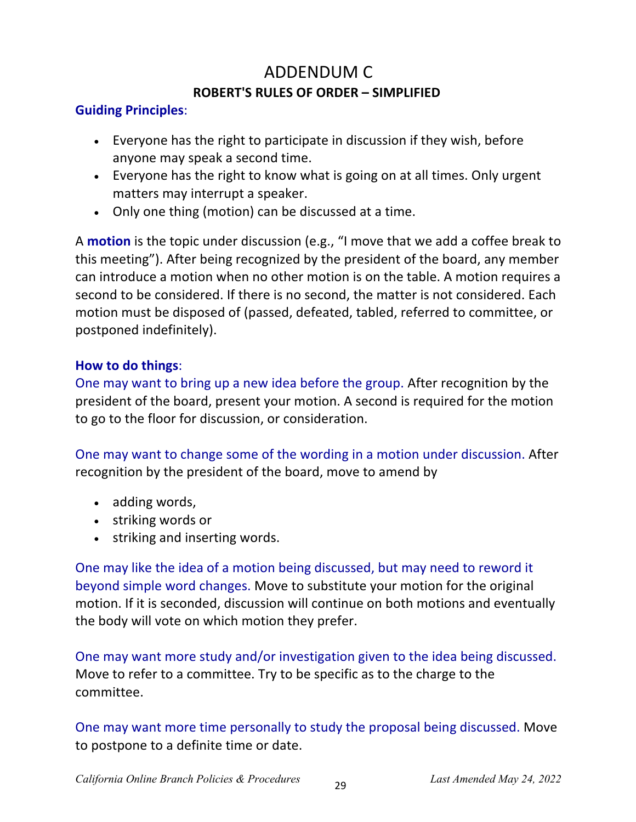# ADDENDUM C **ROBERT'S RULES OF ORDER – SIMPLIFIED**

#### **Guiding Principles**:

- Everyone has the right to participate in discussion if they wish, before anyone may speak a second time.
- Everyone has the right to know what is going on at all times. Only urgent matters may interrupt a speaker.
- Only one thing (motion) can be discussed at a time.

A **motion** is the topic under discussion (e.g., "I move that we add a coffee break to this meeting"). After being recognized by the president of the board, any member can introduce a motion when no other motion is on the table. A motion requires a second to be considered. If there is no second, the matter is not considered. Each motion must be disposed of (passed, defeated, tabled, referred to committee, or postponed indefinitely).

### **How to do things**:

One may want to bring up a new idea before the group. After recognition by the president of the board, present your motion. A second is required for the motion to go to the floor for discussion, or consideration.

One may want to change some of the wording in a motion under discussion. After recognition by the president of the board, move to amend by

- adding words,
- striking words or
- striking and inserting words.

One may like the idea of a motion being discussed, but may need to reword it beyond simple word changes. Move to substitute your motion for the original motion. If it is seconded, discussion will continue on both motions and eventually the body will vote on which motion they prefer.

One may want more study and/or investigation given to the idea being discussed. Move to refer to a committee. Try to be specific as to the charge to the committee.

One may want more time personally to study the proposal being discussed. Move to postpone to a definite time or date.